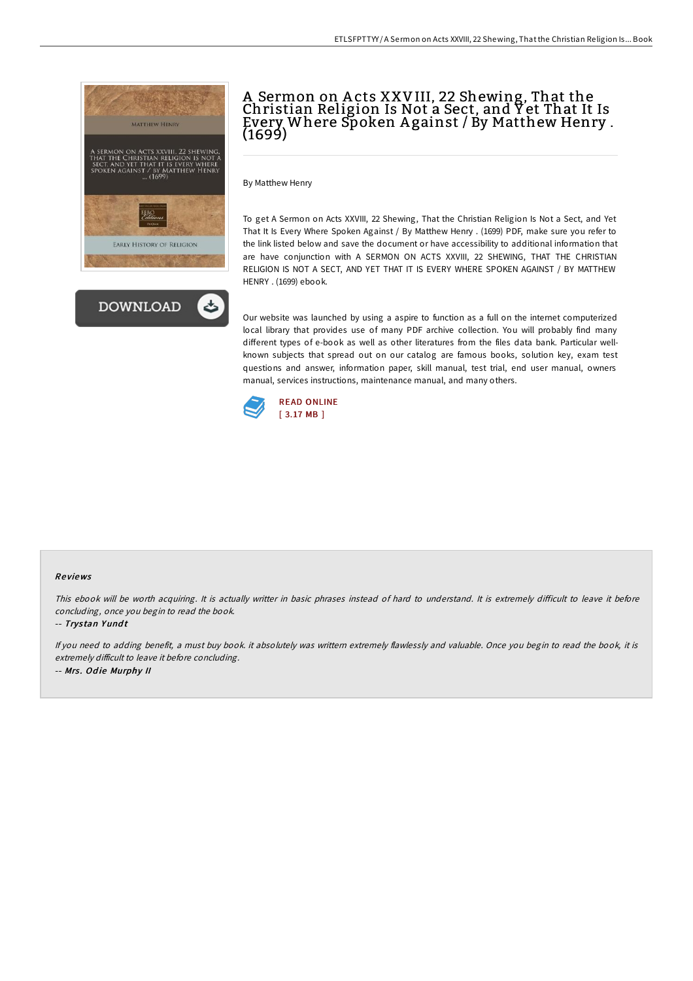



# A Sermon on A cts XXVIII, 22 Shewing, That the Christian Religion Is Not a Sect, and Y et That It Is Every Where Spoken A gainst / By Matthew Henry . (1699)

By Matthew Henry

To get A Sermon on Acts XXVIII, 22 Shewing, That the Christian Religion Is Not a Sect, and Yet That It Is Every Where Spoken Against / By Matthew Henry . (1699) PDF, make sure you refer to the link listed below and save the document or have accessibility to additional information that are have conjunction with A SERMON ON ACTS XXVIII, 22 SHEWING, THAT THE CHRISTIAN RELIGION IS NOT A SECT, AND YET THAT IT IS EVERY WHERE SPOKEN AGAINST / BY MATTHEW HENRY . (1699) ebook.

Our website was launched by using a aspire to function as a full on the internet computerized local library that provides use of many PDF archive collection. You will probably find many different types of e-book as well as other literatures from the files data bank. Particular wellknown subjects that spread out on our catalog are famous books, solution key, exam test questions and answer, information paper, skill manual, test trial, end user manual, owners manual, services instructions, maintenance manual, and many others.



#### Re views

This ebook will be worth acquiring. It is actually writter in basic phrases instead of hard to understand. It is extremely difficult to leave it before concluding, once you begin to read the book.

-- Trystan Yundt

If you need to adding benefit, <sup>a</sup> must buy book. it absolutely was writtern extremely flawlessly and valuable. Once you begin to read the book, it is extremely difficult to leave it before concluding. -- Mrs. Odie Murphy II